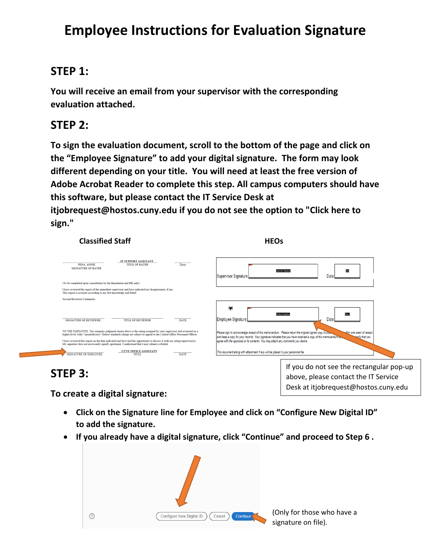# **Employee Instructions for Evaluation Signature**

### **STEP 1:**

**You will receive an email from your supervisor with the corresponding evaluation attached.**

## **STEP 2:**

**To sign the evaluation document, scroll to the bottom of the page and click on the "Employee Signature" to add your digital signature. The form may look different depending on your title. You will need at least the free version of Adobe Acrobat Reader to complete this step. All campus computers should have this software, but please contact the IT Service Desk at itjobrequest@hostos.cuny.edu if you do not see the option to "Click here to sign."**

| <b>Classified Staff</b>                                                                                                                                                                                                                      | <b>HEOs</b>                                                                                                                                                                                                                                                            |
|----------------------------------------------------------------------------------------------------------------------------------------------------------------------------------------------------------------------------------------------|------------------------------------------------------------------------------------------------------------------------------------------------------------------------------------------------------------------------------------------------------------------------|
| IT SUPPORT ASSISTANT<br>PENA, ANNIE<br>Date<br><b>TITLE OF RATER</b><br><b>SIGNATURE OF RATER</b>                                                                                                                                            | Supervisor Signature:<br>Date                                                                                                                                                                                                                                          |
| (To be completed upon consultation by the department and HR only)                                                                                                                                                                            |                                                                                                                                                                                                                                                                        |
| I have reviewed the report of the immediate supervisor and have indicated my disagreement, if any,<br>This report is accurate according to my best knowledge and belief.                                                                     |                                                                                                                                                                                                                                                                        |
| <b>Second Reviewer Comments:</b>                                                                                                                                                                                                             |                                                                                                                                                                                                                                                                        |
| <b>SIGNATURE OF REVIEWER</b><br><b>DATE</b><br><b>TITLE OF REVIEWER</b>                                                                                                                                                                      | ж<br>mployee Signature<br>Date<br>Employee Signature:                                                                                                                                                                                                                  |
| TO THE EMPLOYEE: The summary judgment shown above is the rating assigned by your supervisor and reviewed on a<br>higher level. Only "unsatisfactory" (below standard) ratings are subject to appeal to the Central Office Personnel Officer. | Please sign to acknowledge receipt of this memorandum. Please return the original signed copy to your<br>thin one week of receipt<br>and keep a copy for your records. Your signature indicates that you have received a copy of this memorandum and<br>anify that you |
| I have reviewed this report on the date indicated and have had the opportunity to discuss it with my rating supervisor(s).<br>My signature does not necessarily signify agreement. I understand that I may submit a rebuttal.                | agree with the appraisal or its contents. You may attach any comments you desire.                                                                                                                                                                                      |
| <b>CUNY OFFICE ASSISTANT</b><br>SIGNATURE OF EMPLOYEE<br><b>DATE</b><br><b>TITLE</b>                                                                                                                                                         | This document along with attachment if any will be placed in your personnel file.                                                                                                                                                                                      |
| etrr 1                                                                                                                                                                                                                                       | If you do not see the rectangular pop-up                                                                                                                                                                                                                               |

above, please contact the IT Service Desk at itjobrequest@hostos.cuny.edu

# **STEP 3:**

**To create a digital signature:**

- **Click on the Signature line for Employee and click on "Configure New Digital ID" to add the signature.**
- **If you already have a digital signature, click "Continue" and proceed to Step 6 .**

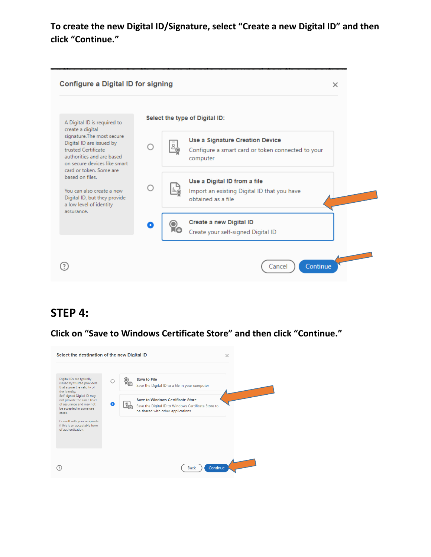#### **To create the new Digital ID/Signature, select "Create a new Digital ID" and then click "Continue."**



#### **STEP 4:**

**Click on "Save to Windows Certificate Store" and then click "Continue."**